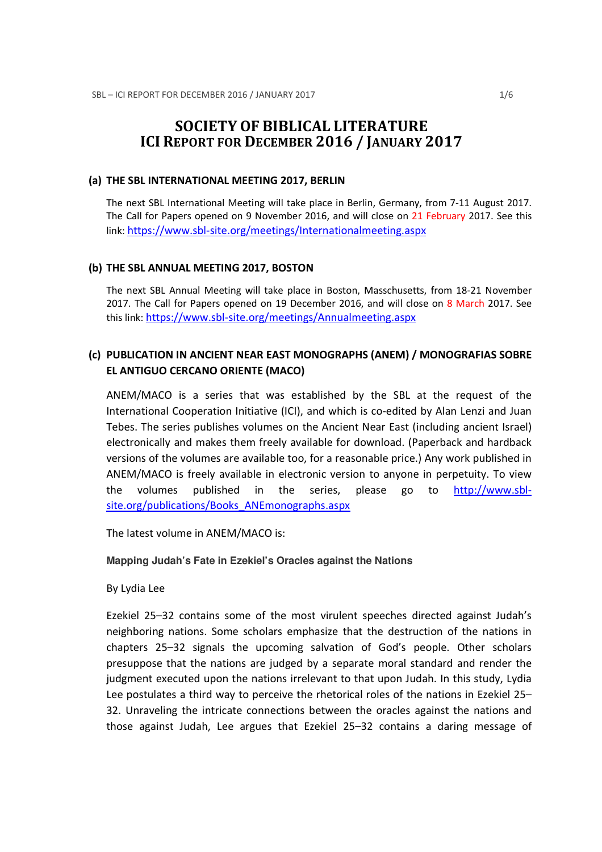# SOCIETY OF BIBLICAL LITERATURE ICI REPORT FOR DECEMBER 2016 / JANUARY 2017

#### (a) THE SBL INTERNATIONAL MEETING 2017, BERLIN

The next SBL International Meeting will take place in Berlin, Germany, from 7-11 August 2017. The Call for Papers opened on 9 November 2016, and will close on 21 February 2017. See this link: https://www.sbl-site.org/meetings/Internationalmeeting.aspx

### (b) THE SBL ANNUAL MEETING 2017, BOSTON

The next SBL Annual Meeting will take place in Boston, Masschusetts, from 18-21 November 2017. The Call for Papers opened on 19 December 2016, and will close on 8 March 2017. See this link: https://www.sbl-site.org/meetings/Annualmeeting.aspx

# (c) PUBLICATION IN ANCIENT NEAR EAST MONOGRAPHS (ANEM) / MONOGRAFIAS SOBRE EL ANTIGUO CERCANO ORIENTE (MACO)

ANEM/MACO is a series that was established by the SBL at the request of the International Cooperation Initiative (ICI), and which is co-edited by Alan Lenzi and Juan Tebes. The series publishes volumes on the Ancient Near East (including ancient Israel) electronically and makes them freely available for download. (Paperback and hardback versions of the volumes are available too, for a reasonable price.) Any work published in ANEM/MACO is freely available in electronic version to anyone in perpetuity. To view the volumes published in the series, please go to http://www.sblsite.org/publications/Books\_ANEmonographs.aspx

The latest volume in ANEM/MACO is:

### **Mapping Judah's Fate in Ezekiel's Oracles against the Nations**

By Lydia Lee

Ezekiel 25–32 contains some of the most virulent speeches directed against Judah's neighboring nations. Some scholars emphasize that the destruction of the nations in chapters 25–32 signals the upcoming salvation of God's people. Other scholars presuppose that the nations are judged by a separate moral standard and render the judgment executed upon the nations irrelevant to that upon Judah. In this study, Lydia Lee postulates a third way to perceive the rhetorical roles of the nations in Ezekiel 25– 32. Unraveling the intricate connections between the oracles against the nations and those against Judah, Lee argues that Ezekiel 25–32 contains a daring message of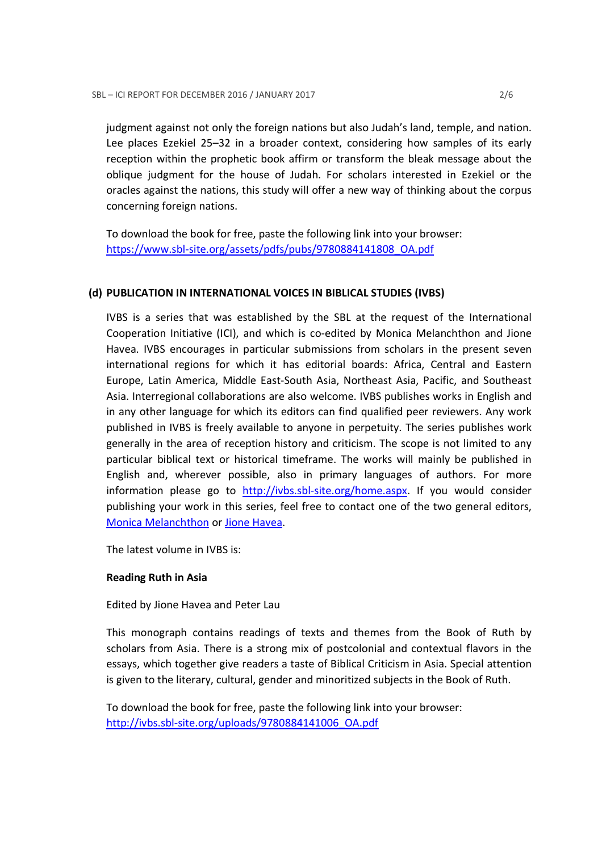judgment against not only the foreign nations but also Judah's land, temple, and nation. Lee places Ezekiel 25–32 in a broader context, considering how samples of its early reception within the prophetic book affirm or transform the bleak message about the oblique judgment for the house of Judah. For scholars interested in Ezekiel or the oracles against the nations, this study will offer a new way of thinking about the corpus concerning foreign nations.

To download the book for free, paste the following link into your browser: https://www.sbl-site.org/assets/pdfs/pubs/9780884141808\_OA.pdf

### (d) PUBLICATION IN INTERNATIONAL VOICES IN BIBLICAL STUDIES (IVBS)

IVBS is a series that was established by the SBL at the request of the International Cooperation Initiative (ICI), and which is co-edited by Monica Melanchthon and Jione Havea. IVBS encourages in particular submissions from scholars in the present seven international regions for which it has editorial boards: Africa, Central and Eastern Europe, Latin America, Middle East-South Asia, Northeast Asia, Pacific, and Southeast Asia. Interregional collaborations are also welcome. IVBS publishes works in English and in any other language for which its editors can find qualified peer reviewers. Any work published in IVBS is freely available to anyone in perpetuity. The series publishes work generally in the area of reception history and criticism. The scope is not limited to any particular biblical text or historical timeframe. The works will mainly be published in English and, wherever possible, also in primary languages of authors. For more information please go to http://ivbs.sbl-site.org/home.aspx. If you would consider publishing your work in this series, feel free to contact one of the two general editors, Monica Melanchthon or Jione Havea.

The latest volume in IVBS is:

# Reading Ruth in Asia

Edited by Jione Havea and Peter Lau

This monograph contains readings of texts and themes from the Book of Ruth by scholars from Asia. There is a strong mix of postcolonial and contextual flavors in the essays, which together give readers a taste of Biblical Criticism in Asia. Special attention is given to the literary, cultural, gender and minoritized subjects in the Book of Ruth.

To download the book for free, paste the following link into your browser: http://ivbs.sbl-site.org/uploads/9780884141006\_OA.pdf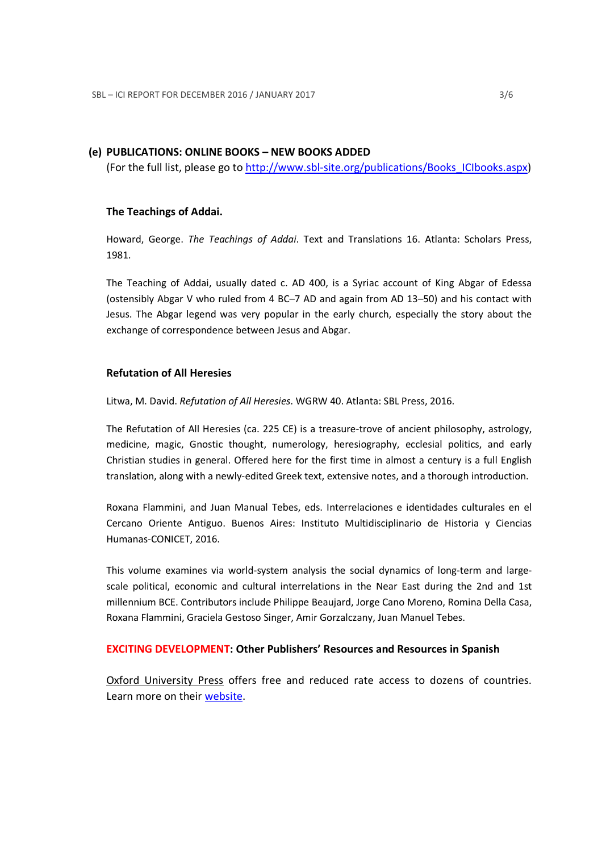### (e) PUBLICATIONS: ONLINE BOOKS – NEW BOOKS ADDED

(For the full list, please go to http://www.sbl-site.org/publications/Books\_ICIbooks.aspx)

### The Teachings of Addai.

Howard, George. The Teachings of Addai. Text and Translations 16. Atlanta: Scholars Press, 1981.

The Teaching of Addai, usually dated c. AD 400, is a Syriac account of King Abgar of Edessa (ostensibly Abgar V who ruled from 4 BC–7 AD and again from AD 13–50) and his contact with Jesus. The Abgar legend was very popular in the early church, especially the story about the exchange of correspondence between Jesus and Abgar.

### Refutation of All Heresies

Litwa, M. David. Refutation of All Heresies. WGRW 40. Atlanta: SBL Press, 2016.

The Refutation of All Heresies (ca. 225 CE) is a treasure-trove of ancient philosophy, astrology, medicine, magic, Gnostic thought, numerology, heresiography, ecclesial politics, and early Christian studies in general. Offered here for the first time in almost a century is a full English translation, along with a newly-edited Greek text, extensive notes, and a thorough introduction.

Roxana Flammini, and Juan Manual Tebes, eds. Interrelaciones e identidades culturales en el Cercano Oriente Antiguo. Buenos Aires: Instituto Multidisciplinario de Historia y Ciencias Humanas-CONICET, 2016.

This volume examines via world-system analysis the social dynamics of long-term and largescale political, economic and cultural interrelations in the Near East during the 2nd and 1st millennium BCE. Contributors include Philippe Beaujard, Jorge Cano Moreno, Romina Della Casa, Roxana Flammini, Graciela Gestoso Singer, Amir Gorzalczany, Juan Manuel Tebes.

### EXCITING DEVELOPMENT: Other Publishers' Resources and Resources in Spanish

Oxford University Press offers free and reduced rate access to dozens of countries. Learn more on their website.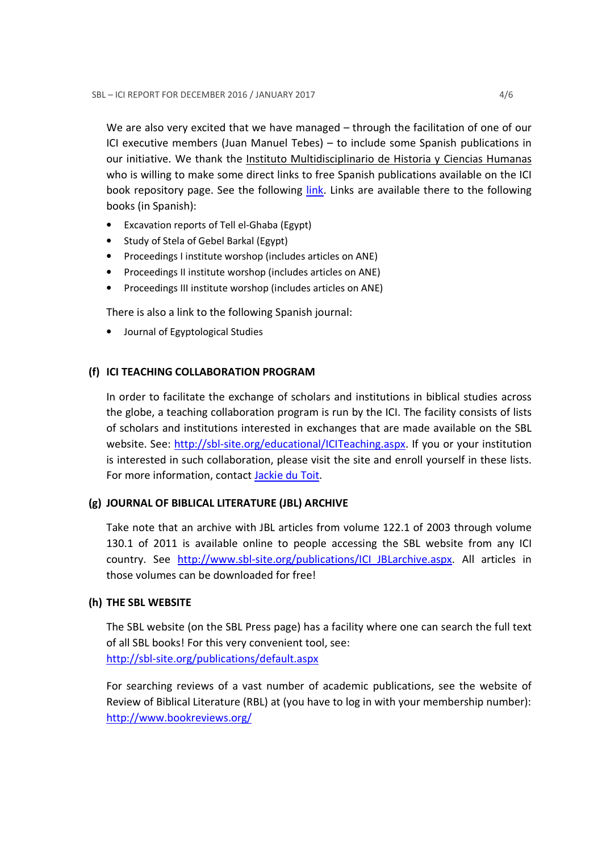We are also very excited that we have managed – through the facilitation of one of our ICI executive members (Juan Manuel Tebes) – to include some Spanish publications in our initiative. We thank the Instituto Multidisciplinario de Historia y Ciencias Humanas who is willing to make some direct links to free Spanish publications available on the ICI book repository page. See the following *link*. Links are available there to the following books (in Spanish):

- Excavation reports of Tell el-Ghaba (Egypt)
- Study of Stela of Gebel Barkal (Egypt)
- Proceedings I institute worshop (includes articles on ANE)
- Proceedings II institute worshop (includes articles on ANE)
- Proceedings III institute worshop (includes articles on ANE)

There is also a link to the following Spanish journal:

• Journal of Egyptological Studies

# (f) ICI TEACHING COLLABORATION PROGRAM

In order to facilitate the exchange of scholars and institutions in biblical studies across the globe, a teaching collaboration program is run by the ICI. The facility consists of lists of scholars and institutions interested in exchanges that are made available on the SBL website. See: http://sbl-site.org/educational/ICITeaching.aspx. If you or your institution is interested in such collaboration, please visit the site and enroll yourself in these lists. For more information, contact Jackie du Toit.

# (g) JOURNAL OF BIBLICAL LITERATURE (JBL) ARCHIVE

Take note that an archive with JBL articles from volume 122.1 of 2003 through volume 130.1 of 2011 is available online to people accessing the SBL website from any ICI country. See http://www.sbl-site.org/publications/ICI\_JBLarchive.aspx. All articles in those volumes can be downloaded for free!

# (h) THE SBL WEBSITE

The SBL website (on the SBL Press page) has a facility where one can search the full text of all SBL books! For this very convenient tool, see: http://sbl-site.org/publications/default.aspx

For searching reviews of a vast number of academic publications, see the website of Review of Biblical Literature (RBL) at (you have to log in with your membership number): http://www.bookreviews.org/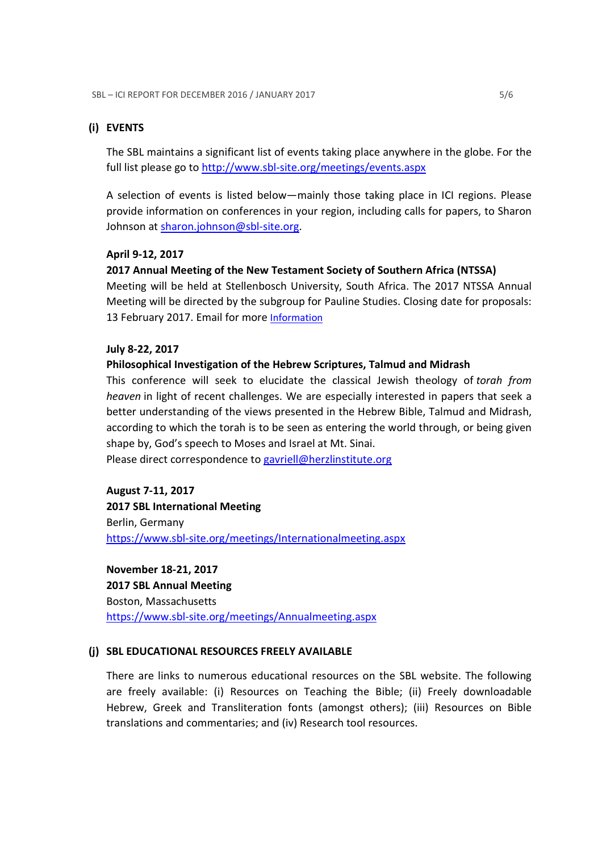### (i) EVENTS

The SBL maintains a significant list of events taking place anywhere in the globe. For the full list please go to http://www.sbl-site.org/meetings/events.aspx

A selection of events is listed below—mainly those taking place in ICI regions. Please provide information on conferences in your region, including calls for papers, to Sharon Johnson at sharon.johnson@sbl-site.org.

### April 9-12, 2017

### 2017 Annual Meeting of the New Testament Society of Southern Africa (NTSSA)

Meeting will be held at Stellenbosch University, South Africa. The 2017 NTSSA Annual Meeting will be directed by the subgroup for Pauline Studies. Closing date for proposals: 13 February 2017. Email for more Information

### July 8-22, 2017

### Philosophical Investigation of the Hebrew Scriptures, Talmud and Midrash

This conference will seek to elucidate the classical Jewish theology of torah from heaven in light of recent challenges. We are especially interested in papers that seek a better understanding of the views presented in the Hebrew Bible, Talmud and Midrash, according to which the torah is to be seen as entering the world through, or being given shape by, God's speech to Moses and Israel at Mt. Sinai.

Please direct correspondence to gavriell@herzlinstitute.org

August 7-11, 2017 2017 SBL International Meeting Berlin, Germany https://www.sbl-site.org/meetings/Internationalmeeting.aspx

November 18-21, 2017 2017 SBL Annual Meeting Boston, Massachusetts https://www.sbl-site.org/meetings/Annualmeeting.aspx

#### (j) SBL EDUCATIONAL RESOURCES FREELY AVAILABLE

There are links to numerous educational resources on the SBL website. The following are freely available: (i) Resources on Teaching the Bible; (ii) Freely downloadable Hebrew, Greek and Transliteration fonts (amongst others); (iii) Resources on Bible translations and commentaries; and (iv) Research tool resources.